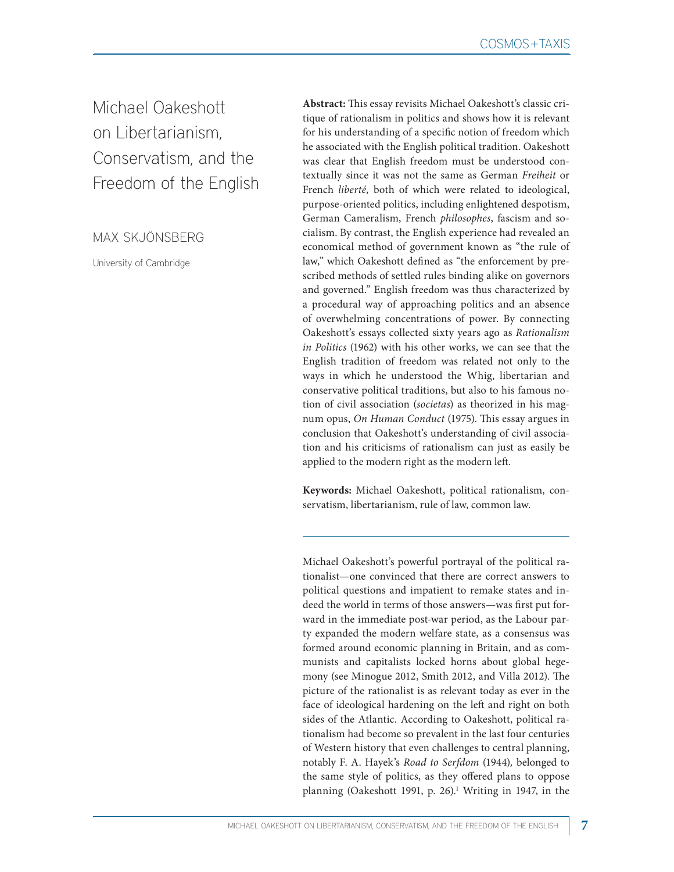Michael Oakeshott on Libertarianism, Conservatism, and the Freedom of the English

MAX SKJÖNSBERG

University of Cambridge

**Abstract:** This essay revisits Michael Oakeshott's classic critique of rationalism in politics and shows how it is relevant for his understanding of a specific notion of freedom which he associated with the English political tradition. Oakeshott was clear that English freedom must be understood contextually since it was not the same as German *Freiheit* or French *liberté,* both of which were related to ideological, purpose-oriented politics, including enlightened despotism, German Cameralism, French *philosophes*, fascism and socialism. By contrast, the English experience had revealed an economical method of government known as "the rule of law," which Oakeshott defined as "the enforcement by prescribed methods of settled rules binding alike on governors and governed." English freedom was thus characterized by a procedural way of approaching politics and an absence of overwhelming concentrations of power. By connecting Oakeshott's essays collected sixty years ago as *Rationalism in Politics* (1962) with his other works, we can see that the English tradition of freedom was related not only to the ways in which he understood the Whig, libertarian and conservative political traditions, but also to his famous notion of civil association (*societas*) as theorized in his magnum opus, *On Human Conduct* (1975). This essay argues in conclusion that Oakeshott's understanding of civil association and his criticisms of rationalism can just as easily be applied to the modern right as the modern left.

**Keywords:** Michael Oakeshott, political rationalism, conservatism, libertarianism, rule of law, common law.

Michael Oakeshott's powerful portrayal of the political rationalist—one convinced that there are correct answers to political questions and impatient to remake states and indeed the world in terms of those answers—was first put forward in the immediate post-war period, as the Labour party expanded the modern welfare state, as a consensus was formed around economic planning in Britain, and as communists and capitalists locked horns about global hegemony (see Minogue 2012, Smith 2012, and Villa 2012). The picture of the rationalist is as relevant today as ever in the face of ideological hardening on the left and right on both sides of the Atlantic. According to Oakeshott, political rationalism had become so prevalent in the last four centuries of Western history that even challenges to central planning, notably F. A. Hayek's *Road to Serfdom* (1944)*,* belonged to the same style of politics, as they offered plans to oppose planning (Oakeshott 1991, p. 26).<sup>1</sup> Writing in 1947, in the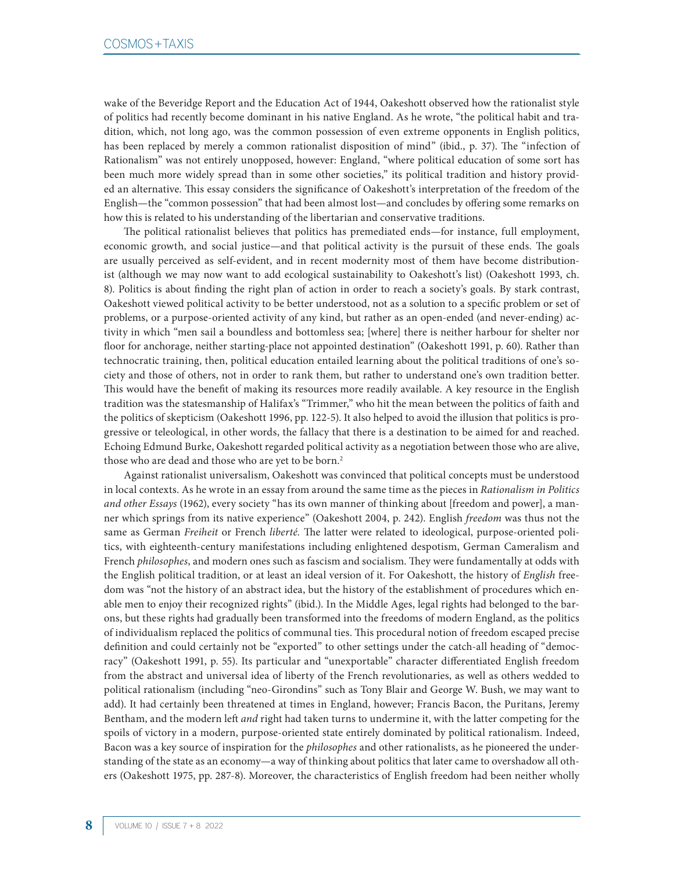wake of the Beveridge Report and the Education Act of 1944, Oakeshott observed how the rationalist style of politics had recently become dominant in his native England. As he wrote, "the political habit and tradition, which, not long ago, was the common possession of even extreme opponents in English politics, has been replaced by merely a common rationalist disposition of mind" (ibid., p. 37). The "infection of Rationalism" was not entirely unopposed, however: England, "where political education of some sort has been much more widely spread than in some other societies," its political tradition and history provided an alternative. This essay considers the significance of Oakeshott's interpretation of the freedom of the English—the "common possession" that had been almost lost—and concludes by offering some remarks on how this is related to his understanding of the libertarian and conservative traditions.

The political rationalist believes that politics has premediated ends—for instance, full employment, economic growth, and social justice—and that political activity is the pursuit of these ends. The goals are usually perceived as self-evident, and in recent modernity most of them have become distributionist (although we may now want to add ecological sustainability to Oakeshott's list) (Oakeshott 1993, ch. 8). Politics is about finding the right plan of action in order to reach a society's goals. By stark contrast, Oakeshott viewed political activity to be better understood, not as a solution to a specific problem or set of problems, or a purpose-oriented activity of any kind, but rather as an open-ended (and never-ending) activity in which "men sail a boundless and bottomless sea; [where] there is neither harbour for shelter nor floor for anchorage, neither starting-place not appointed destination" (Oakeshott 1991, p. 60). Rather than technocratic training, then, political education entailed learning about the political traditions of one's society and those of others, not in order to rank them, but rather to understand one's own tradition better. This would have the benefit of making its resources more readily available. A key resource in the English tradition was the statesmanship of Halifax's "Trimmer," who hit the mean between the politics of faith and the politics of skepticism (Oakeshott 1996, pp. 122-5). It also helped to avoid the illusion that politics is progressive or teleological, in other words, the fallacy that there is a destination to be aimed for and reached. Echoing Edmund Burke, Oakeshott regarded political activity as a negotiation between those who are alive, those who are dead and those who are yet to be born.<sup>2</sup>

Against rationalist universalism, Oakeshott was convinced that political concepts must be understood in local contexts. As he wrote in an essay from around the same time as the pieces in *Rationalism in Politics and other Essays* (1962), every society "has its own manner of thinking about [freedom and power], a manner which springs from its native experience" (Oakeshott 2004, p. 242). English *freedom* was thus not the same as German *Freiheit* or French *liberté.* The latter were related to ideological, purpose-oriented politics, with eighteenth-century manifestations including enlightened despotism, German Cameralism and French *philosophes*, and modern ones such as fascism and socialism. They were fundamentally at odds with the English political tradition, or at least an ideal version of it. For Oakeshott, the history of *English* freedom was "not the history of an abstract idea, but the history of the establishment of procedures which enable men to enjoy their recognized rights" (ibid.). In the Middle Ages, legal rights had belonged to the barons, but these rights had gradually been transformed into the freedoms of modern England, as the politics of individualism replaced the politics of communal ties. This procedural notion of freedom escaped precise definition and could certainly not be "exported" to other settings under the catch-all heading of "democracy" (Oakeshott 1991, p. 55). Its particular and "unexportable" character differentiated English freedom from the abstract and universal idea of liberty of the French revolutionaries, as well as others wedded to political rationalism (including "neo-Girondins" such as Tony Blair and George W. Bush, we may want to add). It had certainly been threatened at times in England, however; Francis Bacon, the Puritans, Jeremy Bentham, and the modern left *and* right had taken turns to undermine it, with the latter competing for the spoils of victory in a modern, purpose-oriented state entirely dominated by political rationalism. Indeed, Bacon was a key source of inspiration for the *philosophes* and other rationalists, as he pioneered the understanding of the state as an economy—a way of thinking about politics that later came to overshadow all others (Oakeshott 1975, pp. 287-8). Moreover, the characteristics of English freedom had been neither wholly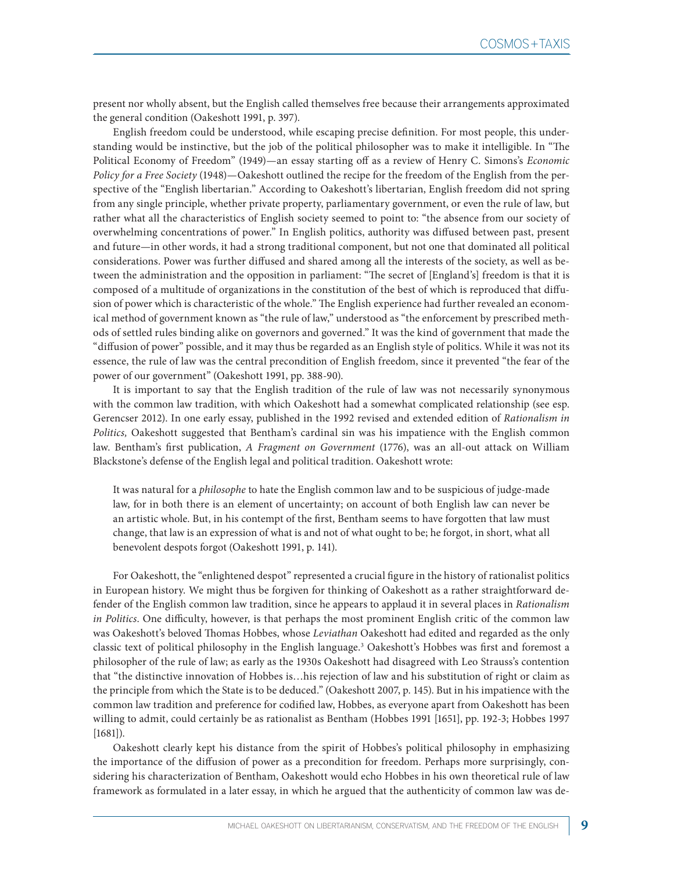present nor wholly absent, but the English called themselves free because their arrangements approximated the general condition (Oakeshott 1991, p. 397).

English freedom could be understood, while escaping precise definition. For most people, this understanding would be instinctive, but the job of the political philosopher was to make it intelligible. In "The Political Economy of Freedom" (1949)—an essay starting off as a review of Henry C. Simons's *Economic Policy for a Free Society* (1948)*—*Oakeshott outlined the recipe for the freedom of the English from the perspective of the "English libertarian." According to Oakeshott's libertarian, English freedom did not spring from any single principle, whether private property, parliamentary government, or even the rule of law, but rather what all the characteristics of English society seemed to point to: "the absence from our society of overwhelming concentrations of power." In English politics, authority was diffused between past, present and future—in other words, it had a strong traditional component, but not one that dominated all political considerations. Power was further diffused and shared among all the interests of the society, as well as between the administration and the opposition in parliament: "The secret of [England's] freedom is that it is composed of a multitude of organizations in the constitution of the best of which is reproduced that diffusion of power which is characteristic of the whole." The English experience had further revealed an economical method of government known as "the rule of law," understood as "the enforcement by prescribed methods of settled rules binding alike on governors and governed." It was the kind of government that made the "diffusion of power" possible, and it may thus be regarded as an English style of politics. While it was not its essence, the rule of law was the central precondition of English freedom, since it prevented "the fear of the power of our government" (Oakeshott 1991, pp. 388-90).

It is important to say that the English tradition of the rule of law was not necessarily synonymous with the common law tradition, with which Oakeshott had a somewhat complicated relationship (see esp. Gerencser 2012). In one early essay, published in the 1992 revised and extended edition of *Rationalism in Politics,* Oakeshott suggested that Bentham's cardinal sin was his impatience with the English common law. Bentham's first publication, *A Fragment on Government* (1776), was an all-out attack on William Blackstone's defense of the English legal and political tradition. Oakeshott wrote:

It was natural for a *philosophe* to hate the English common law and to be suspicious of judge-made law, for in both there is an element of uncertainty; on account of both English law can never be an artistic whole. But, in his contempt of the first, Bentham seems to have forgotten that law must change, that law is an expression of what is and not of what ought to be; he forgot, in short, what all benevolent despots forgot (Oakeshott 1991, p. 141).

For Oakeshott, the "enlightened despot" represented a crucial figure in the history of rationalist politics in European history. We might thus be forgiven for thinking of Oakeshott as a rather straightforward defender of the English common law tradition, since he appears to applaud it in several places in *Rationalism in Politics*. One difficulty, however, is that perhaps the most prominent English critic of the common law was Oakeshott's beloved Thomas Hobbes, whose *Leviathan* Oakeshott had edited and regarded as the only classic text of political philosophy in the English language.3 Oakeshott's Hobbes was first and foremost a philosopher of the rule of law; as early as the 1930s Oakeshott had disagreed with Leo Strauss's contention that "the distinctive innovation of Hobbes is…his rejection of law and his substitution of right or claim as the principle from which the State is to be deduced." (Oakeshott 2007, p. 145). But in his impatience with the common law tradition and preference for codified law, Hobbes, as everyone apart from Oakeshott has been willing to admit, could certainly be as rationalist as Bentham (Hobbes 1991 [1651], pp. 192-3; Hobbes 1997 [1681]).

Oakeshott clearly kept his distance from the spirit of Hobbes's political philosophy in emphasizing the importance of the diffusion of power as a precondition for freedom. Perhaps more surprisingly, considering his characterization of Bentham, Oakeshott would echo Hobbes in his own theoretical rule of law framework as formulated in a later essay, in which he argued that the authenticity of common law was de-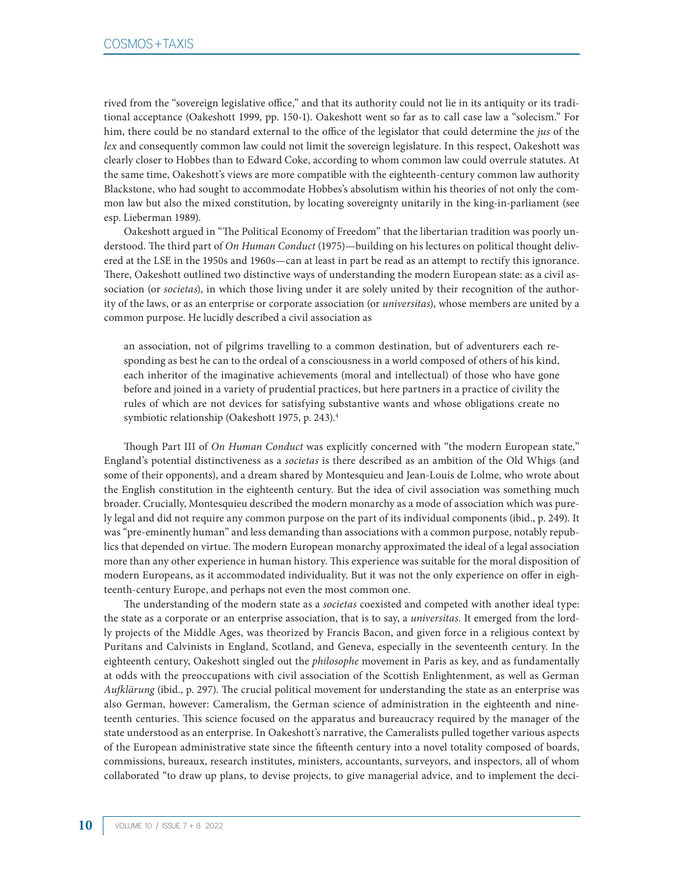rived from the "sovereign legislative office," and that its authority could not lie in its antiquity or its traditional acceptance (Oakeshott 1999, pp. 150-1). Oakeshott went so far as to call case law a "solecism." For him, there could be no standard external to the office of the legislator that could determine the *jus* of the *lex* and consequently common law could not limit the sovereign legislature. In this respect, Oakeshott was clearly closer to Hobbes than to Edward Coke, according to whom common law could overrule statutes. At the same time, Oakeshott's views are more compatible with the eighteenth-century common law authority Blackstone, who had sought to accommodate Hobbes's absolutism within his theories of not only the common law but also the mixed constitution, by locating sovereignty unitarily in the king-in-parliament (see esp. Lieberman 1989).

Oakeshott argued in "The Political Economy of Freedom" that the libertarian tradition was poorly understood. The third part of *On Human Conduct* (1975)—building on his lectures on political thought delivered at the LSE in the 1950s and 1960s—can at least in part be read as an attempt to rectify this ignorance. There, Oakeshott outlined two distinctive ways of understanding the modern European state: as a civil association (or *societas*), in which those living under it are solely united by their recognition of the authority of the laws, or as an enterprise or corporate association (or *universitas*), whose members are united by a common purpose. He lucidly described a civil association as

an association, not of pilgrims travelling to a common destination, but of adventurers each responding as best he can to the ordeal of a consciousness in a world composed of others of his kind, each inheritor of the imaginative achievements (moral and intellectual) of those who have gone before and joined in a variety of prudential practices, but here partners in a practice of civility the rules of which are not devices for satisfying substantive wants and whose obligations create no symbiotic relationship (Oakeshott 1975, p. 243).4

Though Part III of *On Human Conduct* was explicitly concerned with "the modern European state*,*" England's potential distinctiveness as a *societas* is there described as an ambition of the Old Whigs (and some of their opponents), and a dream shared by Montesquieu and Jean-Louis de Lolme, who wrote about the English constitution in the eighteenth century. But the idea of civil association was something much broader. Crucially, Montesquieu described the modern monarchy as a mode of association which was purely legal and did not require any common purpose on the part of its individual components (ibid., p. 249). It was "pre-eminently human" and less demanding than associations with a common purpose, notably republics that depended on virtue. The modern European monarchy approximated the ideal of a legal association more than any other experience in human history. This experience was suitable for the moral disposition of modern Europeans, as it accommodated individuality. But it was not the only experience on offer in eighteenth-century Europe, and perhaps not even the most common one.

The understanding of the modern state as a *societas* coexisted and competed with another ideal type: the state as a corporate or an enterprise association, that is to say, a *universitas*. It emerged from the lordly projects of the Middle Ages, was theorized by Francis Bacon, and given force in a religious context by Puritans and Calvinists in England, Scotland, and Geneva, especially in the seventeenth century. In the eighteenth century, Oakeshott singled out the *philosophe* movement in Paris as key, and as fundamentally at odds with the preoccupations with civil association of the Scottish Enlightenment, as well as German *Aufklärung* (ibid., p. 297). The crucial political movement for understanding the state as an enterprise was also German, however: Cameralism, the German science of administration in the eighteenth and nineteenth centuries. This science focused on the apparatus and bureaucracy required by the manager of the state understood as an enterprise. In Oakeshott's narrative, the Cameralists pulled together various aspects of the European administrative state since the fifteenth century into a novel totality composed of boards, commissions, bureaux, research institutes, ministers, accountants, surveyors, and inspectors, all of whom collaborated "to draw up plans, to devise projects, to give managerial advice, and to implement the deci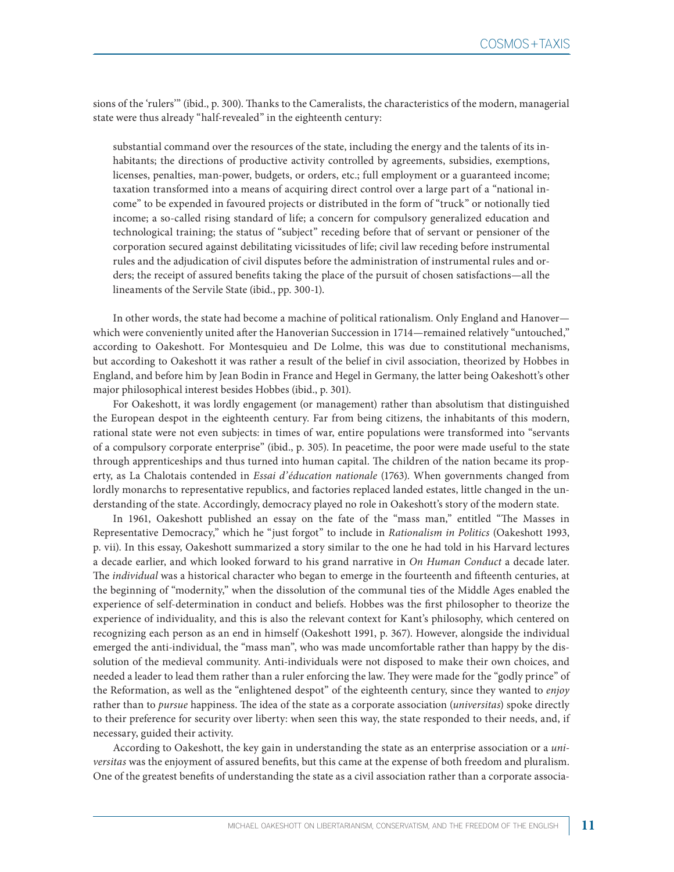sions of the 'rulers'" (ibid., p. 300). Thanks to the Cameralists, the characteristics of the modern, managerial state were thus already "half-revealed" in the eighteenth century:

substantial command over the resources of the state, including the energy and the talents of its inhabitants; the directions of productive activity controlled by agreements, subsidies, exemptions, licenses, penalties, man-power, budgets, or orders, etc.; full employment or a guaranteed income; taxation transformed into a means of acquiring direct control over a large part of a "national income" to be expended in favoured projects or distributed in the form of "truck" or notionally tied income; a so-called rising standard of life; a concern for compulsory generalized education and technological training; the status of "subject" receding before that of servant or pensioner of the corporation secured against debilitating vicissitudes of life; civil law receding before instrumental rules and the adjudication of civil disputes before the administration of instrumental rules and orders; the receipt of assured benefits taking the place of the pursuit of chosen satisfactions—all the lineaments of the Servile State (ibid., pp. 300-1).

In other words, the state had become a machine of political rationalism. Only England and Hanover which were conveniently united after the Hanoverian Succession in 1714—remained relatively "untouched," according to Oakeshott. For Montesquieu and De Lolme, this was due to constitutional mechanisms, but according to Oakeshott it was rather a result of the belief in civil association, theorized by Hobbes in England, and before him by Jean Bodin in France and Hegel in Germany, the latter being Oakeshott's other major philosophical interest besides Hobbes (ibid., p. 301).

For Oakeshott, it was lordly engagement (or management) rather than absolutism that distinguished the European despot in the eighteenth century. Far from being citizens, the inhabitants of this modern, rational state were not even subjects: in times of war, entire populations were transformed into "servants of a compulsory corporate enterprise" (ibid., p. 305). In peacetime, the poor were made useful to the state through apprenticeships and thus turned into human capital. The children of the nation became its property, as La Chalotais contended in *Essai d'éducation nationale* (1763). When governments changed from lordly monarchs to representative republics, and factories replaced landed estates, little changed in the understanding of the state. Accordingly, democracy played no role in Oakeshott's story of the modern state.

In 1961, Oakeshott published an essay on the fate of the "mass man," entitled "The Masses in Representative Democracy," which he "just forgot" to include in *Rationalism in Politics* (Oakeshott 1993, p. vii). In this essay, Oakeshott summarized a story similar to the one he had told in his Harvard lectures a decade earlier, and which looked forward to his grand narrative in *On Human Conduct* a decade later. The *individual* was a historical character who began to emerge in the fourteenth and fifteenth centuries, at the beginning of "modernity," when the dissolution of the communal ties of the Middle Ages enabled the experience of self-determination in conduct and beliefs. Hobbes was the first philosopher to theorize the experience of individuality, and this is also the relevant context for Kant's philosophy, which centered on recognizing each person as an end in himself (Oakeshott 1991, p. 367). However, alongside the individual emerged the anti-individual, the "mass man", who was made uncomfortable rather than happy by the dissolution of the medieval community. Anti-individuals were not disposed to make their own choices, and needed a leader to lead them rather than a ruler enforcing the law. They were made for the "godly prince" of the Reformation, as well as the "enlightened despot" of the eighteenth century, since they wanted to *enjoy* rather than to *pursue* happiness. The idea of the state as a corporate association (*universitas*) spoke directly to their preference for security over liberty: when seen this way, the state responded to their needs, and, if necessary, guided their activity.

According to Oakeshott, the key gain in understanding the state as an enterprise association or a *universitas* was the enjoyment of assured benefits, but this came at the expense of both freedom and pluralism. One of the greatest benefits of understanding the state as a civil association rather than a corporate associa-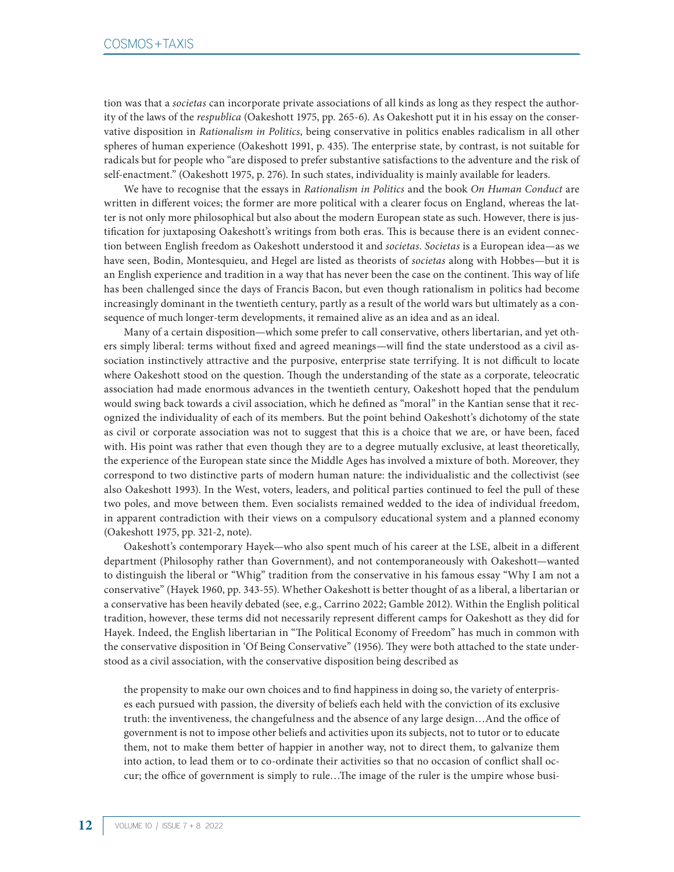tion was that a *societas* can incorporate private associations of all kinds as long as they respect the authority of the laws of the *respublica* (Oakeshott 1975, pp. 265-6). As Oakeshott put it in his essay on the conservative disposition in *Rationalism in Politics*, being conservative in politics enables radicalism in all other spheres of human experience (Oakeshott 1991, p. 435). The enterprise state, by contrast, is not suitable for radicals but for people who "are disposed to prefer substantive satisfactions to the adventure and the risk of self-enactment." (Oakeshott 1975, p. 276). In such states, individuality is mainly available for leaders.

We have to recognise that the essays in *Rationalism in Politics* and the book *On Human Conduct* are written in different voices; the former are more political with a clearer focus on England, whereas the latter is not only more philosophical but also about the modern European state as such. However, there is justification for juxtaposing Oakeshott's writings from both eras. This is because there is an evident connection between English freedom as Oakeshott understood it and *societas*. *Societas* is a European idea—as we have seen, Bodin, Montesquieu, and Hegel are listed as theorists of *societas* along with Hobbes—but it is an English experience and tradition in a way that has never been the case on the continent. This way of life has been challenged since the days of Francis Bacon, but even though rationalism in politics had become increasingly dominant in the twentieth century, partly as a result of the world wars but ultimately as a consequence of much longer-term developments, it remained alive as an idea and as an ideal.

Many of a certain disposition—which some prefer to call conservative, others libertarian, and yet others simply liberal: terms without fixed and agreed meanings—will find the state understood as a civil association instinctively attractive and the purposive, enterprise state terrifying. It is not difficult to locate where Oakeshott stood on the question. Though the understanding of the state as a corporate, teleocratic association had made enormous advances in the twentieth century, Oakeshott hoped that the pendulum would swing back towards a civil association, which he defined as "moral" in the Kantian sense that it recognized the individuality of each of its members. But the point behind Oakeshott's dichotomy of the state as civil or corporate association was not to suggest that this is a choice that we are, or have been, faced with. His point was rather that even though they are to a degree mutually exclusive, at least theoretically, the experience of the European state since the Middle Ages has involved a mixture of both. Moreover, they correspond to two distinctive parts of modern human nature: the individualistic and the collectivist (see also Oakeshott 1993). In the West, voters, leaders, and political parties continued to feel the pull of these two poles, and move between them. Even socialists remained wedded to the idea of individual freedom, in apparent contradiction with their views on a compulsory educational system and a planned economy (Oakeshott 1975, pp. 321-2, note).

Oakeshott's contemporary Hayek—who also spent much of his career at the LSE, albeit in a different department (Philosophy rather than Government), and not contemporaneously with Oakeshott—wanted to distinguish the liberal or "Whig" tradition from the conservative in his famous essay "Why I am not a conservative" (Hayek 1960, pp. 343-55). Whether Oakeshott is better thought of as a liberal, a libertarian or a conservative has been heavily debated (see, e.g., Carrino 2022; Gamble 2012). Within the English political tradition, however, these terms did not necessarily represent different camps for Oakeshott as they did for Hayek. Indeed, the English libertarian in "The Political Economy of Freedom" has much in common with the conservative disposition in 'Of Being Conservative" (1956). They were both attached to the state understood as a civil association, with the conservative disposition being described as

the propensity to make our own choices and to find happiness in doing so, the variety of enterprises each pursued with passion, the diversity of beliefs each held with the conviction of its exclusive truth: the inventiveness, the changefulness and the absence of any large design…And the office of government is not to impose other beliefs and activities upon its subjects, not to tutor or to educate them, not to make them better of happier in another way, not to direct them, to galvanize them into action, to lead them or to co-ordinate their activities so that no occasion of conflict shall occur; the office of government is simply to rule…The image of the ruler is the umpire whose busi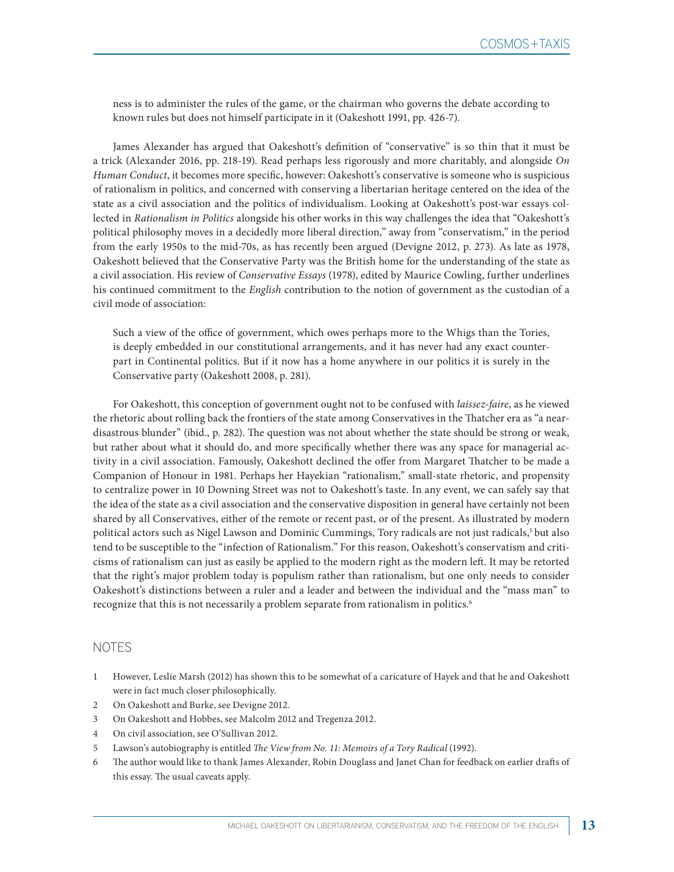ness is to administer the rules of the game, or the chairman who governs the debate according to known rules but does not himself participate in it (Oakeshott 1991, pp. 426-7).

James Alexander has argued that Oakeshott's definition of "conservative" is so thin that it must be a trick (Alexander 2016, pp. 218-19). Read perhaps less rigorously and more charitably, and alongside *On Human Conduct*, it becomes more specific, however: Oakeshott's conservative is someone who is suspicious of rationalism in politics, and concerned with conserving a libertarian heritage centered on the idea of the state as a civil association and the politics of individualism. Looking at Oakeshott's post-war essays collected in *Rationalism in Politics* alongside his other works in this way challenges the idea that "Oakeshott's political philosophy moves in a decidedly more liberal direction," away from "conservatism," in the period from the early 1950s to the mid-70s, as has recently been argued (Devigne 2012, p. 273). As late as 1978, Oakeshott believed that the Conservative Party was the British home for the understanding of the state as a civil association. His review of *Conservative Essays* (1978), edited by Maurice Cowling, further underlines his continued commitment to the *English* contribution to the notion of government as the custodian of a civil mode of association:

Such a view of the office of government, which owes perhaps more to the Whigs than the Tories, is deeply embedded in our constitutional arrangements, and it has never had any exact counterpart in Continental politics. But if it now has a home anywhere in our politics it is surely in the Conservative party (Oakeshott 2008, p. 281).

For Oakeshott, this conception of government ought not to be confused with *laissez-faire*, as he viewed the rhetoric about rolling back the frontiers of the state among Conservatives in the Thatcher era as "a neardisastrous blunder" (ibid., p. 282). The question was not about whether the state should be strong or weak, but rather about what it should do, and more specifically whether there was any space for managerial activity in a civil association. Famously, Oakeshott declined the offer from Margaret Thatcher to be made a Companion of Honour in 1981. Perhaps her Hayekian "rationalism," small-state rhetoric, and propensity to centralize power in 10 Downing Street was not to Oakeshott's taste. In any event, we can safely say that the idea of the state as a civil association and the conservative disposition in general have certainly not been shared by all Conservatives, either of the remote or recent past, or of the present. As illustrated by modern political actors such as Nigel Lawson and Dominic Cummings, Tory radicals are not just radicals,<sup>5</sup> but also tend to be susceptible to the "infection of Rationalism." For this reason, Oakeshott's conservatism and criticisms of rationalism can just as easily be applied to the modern right as the modern left. It may be retorted that the right's major problem today is populism rather than rationalism, but one only needs to consider Oakeshott's distinctions between a ruler and a leader and between the individual and the "mass man" to recognize that this is not necessarily a problem separate from rationalism in politics.<sup>6</sup>

## NOTES

- 1 However, Leslie Marsh (2012) has shown this to be somewhat of a caricature of Hayek and that he and Oakeshott were in fact much closer philosophically.
- 2 On Oakeshott and Burke, see Devigne 2012.
- 3 On Oakeshott and Hobbes, see Malcolm 2012 and Tregenza 2012.
- 4 On civil association, see O'Sullivan 2012.
- 5 Lawson's autobiography is entitled *The View from No. 11: Memoirs of a Tory Radical* (1992).
- 6 The author would like to thank James Alexander, Robin Douglass and Janet Chan for feedback on earlier drafts of this essay. The usual caveats apply.